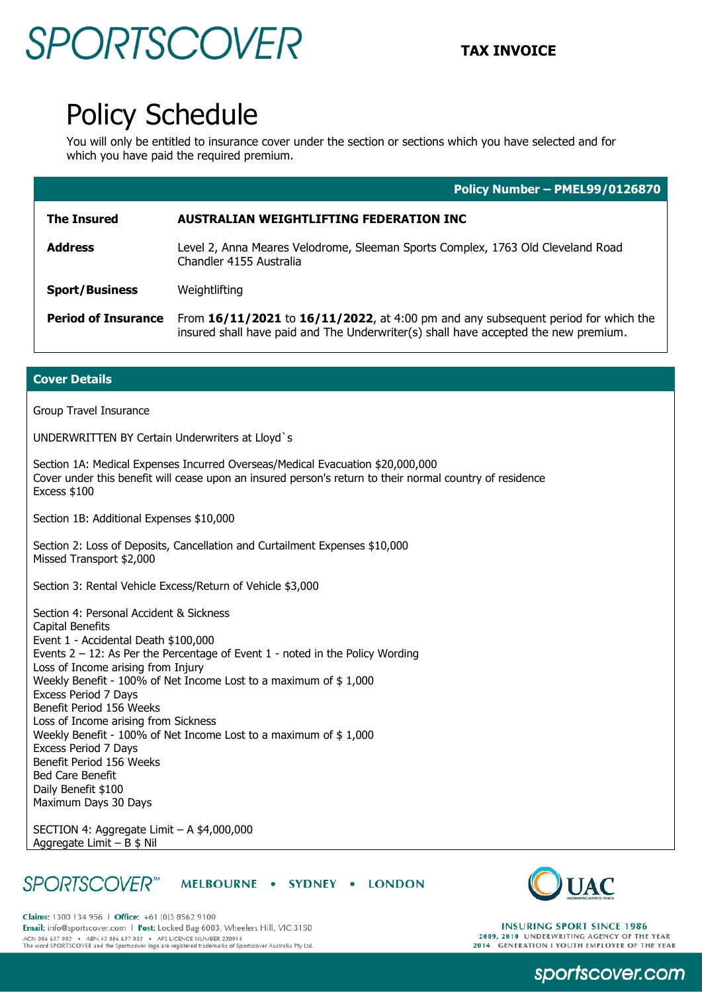## **SPORTSCOVER** TAX INVOICE

### Policy Schedule

You will only be entitled to insurance cover under the section or sections which you have selected and for which you have paid the required premium.

|                            | Policy Number - PMEL99/0126870                                                                                                                                           |
|----------------------------|--------------------------------------------------------------------------------------------------------------------------------------------------------------------------|
| <b>The Insured</b>         | <b>AUSTRALIAN WEIGHTLIFTING FEDERATION INC</b>                                                                                                                           |
| <b>Address</b>             | Level 2, Anna Meares Velodrome, Sleeman Sports Complex, 1763 Old Cleveland Road<br>Chandler 4155 Australia                                                               |
| <b>Sport/Business</b>      | Weightlifting                                                                                                                                                            |
| <b>Period of Insurance</b> | From 16/11/2021 to 16/11/2022, at 4:00 pm and any subsequent period for which the<br>insured shall have paid and The Underwriter(s) shall have accepted the new premium. |

### **Cover Details**

Group Travel Insurance

UNDERWRITTEN BY Certain Underwriters at Lloyd`s

Section 1A: Medical Expenses Incurred Overseas/Medical Evacuation \$20,000,000 Cover under this benefit will cease upon an insured person's return to their normal country of residence Excess \$100

Section 1B: Additional Expenses \$10,000

Section 2: Loss of Deposits, Cancellation and Curtailment Expenses \$10,000 Missed Transport \$2,000

Section 3: Rental Vehicle Excess/Return of Vehicle \$3,000

Section 4: Personal Accident & Sickness Capital Benefits Event 1 - Accidental Death \$100,000 Events 2 – 12: As Per the Percentage of Event 1 - noted in the Policy Wording Loss of Income arising from Injury Weekly Benefit - 100% of Net Income Lost to a maximum of \$ 1,000 Excess Period 7 Days Benefit Period 156 Weeks Loss of Income arising from Sickness Weekly Benefit - 100% of Net Income Lost to a maximum of \$ 1,000 Excess Period 7 Days Benefit Period 156 Weeks Bed Care Benefit Daily Benefit \$100 Maximum Days 30 Days

SECTION 4: Aggregate Limit – A \$4,000,000 Aggregate Limit – B \$ Nil

#### **SPORTSCOVER**<sup>™</sup> MELBOURNE . SYDNEY . LONDON



Claims: 1300 134 956 | Office: +61 (0)3 8562 9100 Email: info@sportscover.com | Post: Locked Bag 6003, Wheelers Hill, VIC 3150 ACN 006 637 903 ABN 43 006 637 903 AFS LICENCE NUMBER 230914<br>The word SPORTSCOVER and the Sportscover logo are registered trademarks of Sportscover Australia Pty Ltd.

**INSURING SPORT SINCE 1986** 2009, 2010 UNDERWRITING AGENCY OF THE YEAR<br>2014 GENERATION I YOUTH EMPLOYER OF THE YEAR

sportscover.com